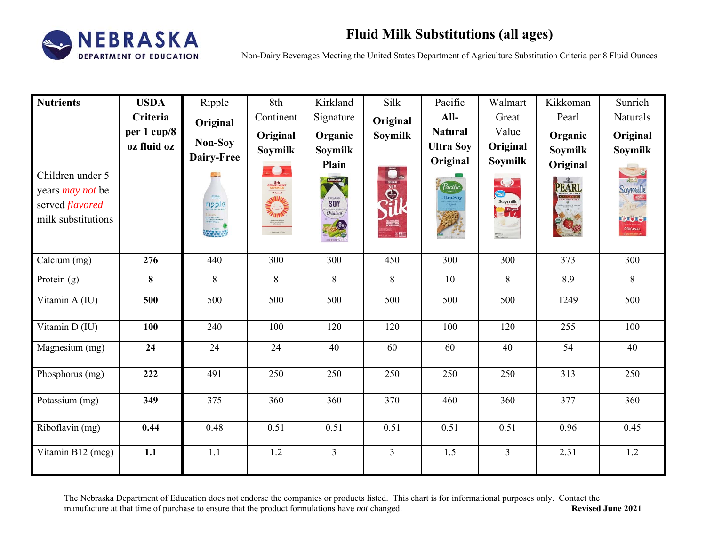

## **Fluid Milk Substitutions (all ages)**

Non-Dairy Beverages Meeting the United States Department of Agriculture Substitution Criteria per 8 Fluid Ounces

| <b>Nutrients</b>                                                 | <b>USDA</b>                     | Ripple                                                                      | 8th                                                                                                                                                                                                                                                                                | Kirkland                                                   | Silk                   | Pacific                                        | Walmart                                                                                                                                                                                                                                                                                                                                                                                                                                                                                                                                                                  | Kikkoman                              | Sunrich                                                             |
|------------------------------------------------------------------|---------------------------------|-----------------------------------------------------------------------------|------------------------------------------------------------------------------------------------------------------------------------------------------------------------------------------------------------------------------------------------------------------------------------|------------------------------------------------------------|------------------------|------------------------------------------------|--------------------------------------------------------------------------------------------------------------------------------------------------------------------------------------------------------------------------------------------------------------------------------------------------------------------------------------------------------------------------------------------------------------------------------------------------------------------------------------------------------------------------------------------------------------------------|---------------------------------------|---------------------------------------------------------------------|
|                                                                  | Criteria                        | Original                                                                    | Continent                                                                                                                                                                                                                                                                          | Signature                                                  | Original               | All-                                           | Great                                                                                                                                                                                                                                                                                                                                                                                                                                                                                                                                                                    | Pearl                                 | <b>Naturals</b>                                                     |
| Children under 5                                                 | per $1$ cup/ $8$<br>oz fluid oz | Non-Soy<br>Dairy-Free                                                       | Original<br><b>Soymilk</b><br>$\bullet$                                                                                                                                                                                                                                            | Organic<br><b>Soymilk</b><br>Plain                         | <b>Soymilk</b>         | <b>Natural</b><br><b>Ultra Soy</b><br>Original | Value<br>Original<br><b>Soymilk</b>                                                                                                                                                                                                                                                                                                                                                                                                                                                                                                                                      | Organic<br><b>Soymilk</b><br>Original | Original<br><b>Soymilk</b>                                          |
| years <i>may not</i> be<br>served flavored<br>milk substitutions |                                 | slęgn<br>Santa Lugaretta<br>1973: Impreziator<br>1985: Chicago de<br>Within | CONTINENT<br><b>REAL PROPERTY</b><br>$\begin{array}{l} \begin{array}{c} \texttt{A}\ \texttt{goal} \ \texttt{source} \ d\ \texttt{metric} \\ \texttt{Inflow} \ \texttt{set} \ \texttt{flow} \ \texttt{true} \\ \texttt{Inflow} \ \texttt{time} \end{array} \end{array}$<br>$\cdots$ | <b>The Second</b><br>ORGANIC-<br><b>SOY</b><br>$O$ riginal | Sea<br>两部()<br>$= 200$ | Pacific<br><b>Ultra Soy</b>                    | $\bullet$<br>Great<br>Soymilk<br>$\begin{tabular}{ c c } \hline \multicolumn{3}{ c }{\textbf{Original}}\\ \hline \multicolumn{3}{ c }{\textbf{Original}}\\ \hline \multicolumn{3}{ c }{\textbf{Original}}\\ \hline \multicolumn{3}{ c }{\textbf{Original}}\\ \hline \multicolumn{3}{ c }{\textbf{Class}}\\ \hline \multicolumn{3}{ c }{\textbf{Class}}\\ \hline \multicolumn{3}{ c }{\textbf{Class}}\\ \hline \multicolumn{3}{ c }{\textbf{Class}}\\ \hline \multicolumn{3}{ c }{\textbf{Class}}\\ \hline \multicolumn{3}{ c }{\textbf{Class$<br>Thursday<br>Viennang de | PEARL<br><b>RGANIC SOYMILE</b>        | Soymilk<br>1072<br>300<br><b>ORIGINAL</b><br>RASTORMAL <sup>0</sup> |
| Calcium (mg)                                                     | 276                             | 440                                                                         | 300                                                                                                                                                                                                                                                                                | 300                                                        | 450                    | 300                                            | 300                                                                                                                                                                                                                                                                                                                                                                                                                                                                                                                                                                      | 373                                   | 300                                                                 |
| Protein (g)                                                      | 8                               | 8                                                                           | 8                                                                                                                                                                                                                                                                                  | 8                                                          | 8                      | 10                                             | 8                                                                                                                                                                                                                                                                                                                                                                                                                                                                                                                                                                        | 8.9                                   | 8                                                                   |
| Vitamin A (IU)                                                   | 500                             | 500                                                                         | 500                                                                                                                                                                                                                                                                                | 500                                                        | 500                    | 500                                            | 500                                                                                                                                                                                                                                                                                                                                                                                                                                                                                                                                                                      | 1249                                  | 500                                                                 |
| Vitamin D (IU)                                                   | 100                             | 240                                                                         | 100                                                                                                                                                                                                                                                                                | 120                                                        | 120                    | 100                                            | 120                                                                                                                                                                                                                                                                                                                                                                                                                                                                                                                                                                      | 255                                   | 100                                                                 |
| Magnesium (mg)                                                   | 24                              | 24                                                                          | 24                                                                                                                                                                                                                                                                                 | 40                                                         | 60                     | 60                                             | 40                                                                                                                                                                                                                                                                                                                                                                                                                                                                                                                                                                       | 54                                    | 40                                                                  |
| Phosphorus (mg)                                                  | 222                             | 491                                                                         | 250                                                                                                                                                                                                                                                                                | 250                                                        | 250                    | 250                                            | 250                                                                                                                                                                                                                                                                                                                                                                                                                                                                                                                                                                      | 313                                   | 250                                                                 |
| Potassium (mg)                                                   | 349                             | 375                                                                         | 360                                                                                                                                                                                                                                                                                | 360                                                        | 370                    | 460                                            | 360                                                                                                                                                                                                                                                                                                                                                                                                                                                                                                                                                                      | 377                                   | 360                                                                 |
| Riboflavin (mg)                                                  | 0.44                            | 0.48                                                                        | 0.51                                                                                                                                                                                                                                                                               | 0.51                                                       | 0.51                   | 0.51                                           | 0.51                                                                                                                                                                                                                                                                                                                                                                                                                                                                                                                                                                     | 0.96                                  | 0.45                                                                |
| Vitamin B12 (mcg)                                                | 1.1                             | 1.1                                                                         | 1.2                                                                                                                                                                                                                                                                                | $\overline{3}$                                             | $\overline{3}$         | 1.5                                            | $\overline{3}$                                                                                                                                                                                                                                                                                                                                                                                                                                                                                                                                                           | 2.31                                  | 1.2                                                                 |

The Nebraska Department of Education does not endorse the companies or products listed. This chart is for informational purposes only. Contact the manufacture at that time of purchase to ensure that the product formulations have *not* changed. **Revised June 2021 Revised June 2021**